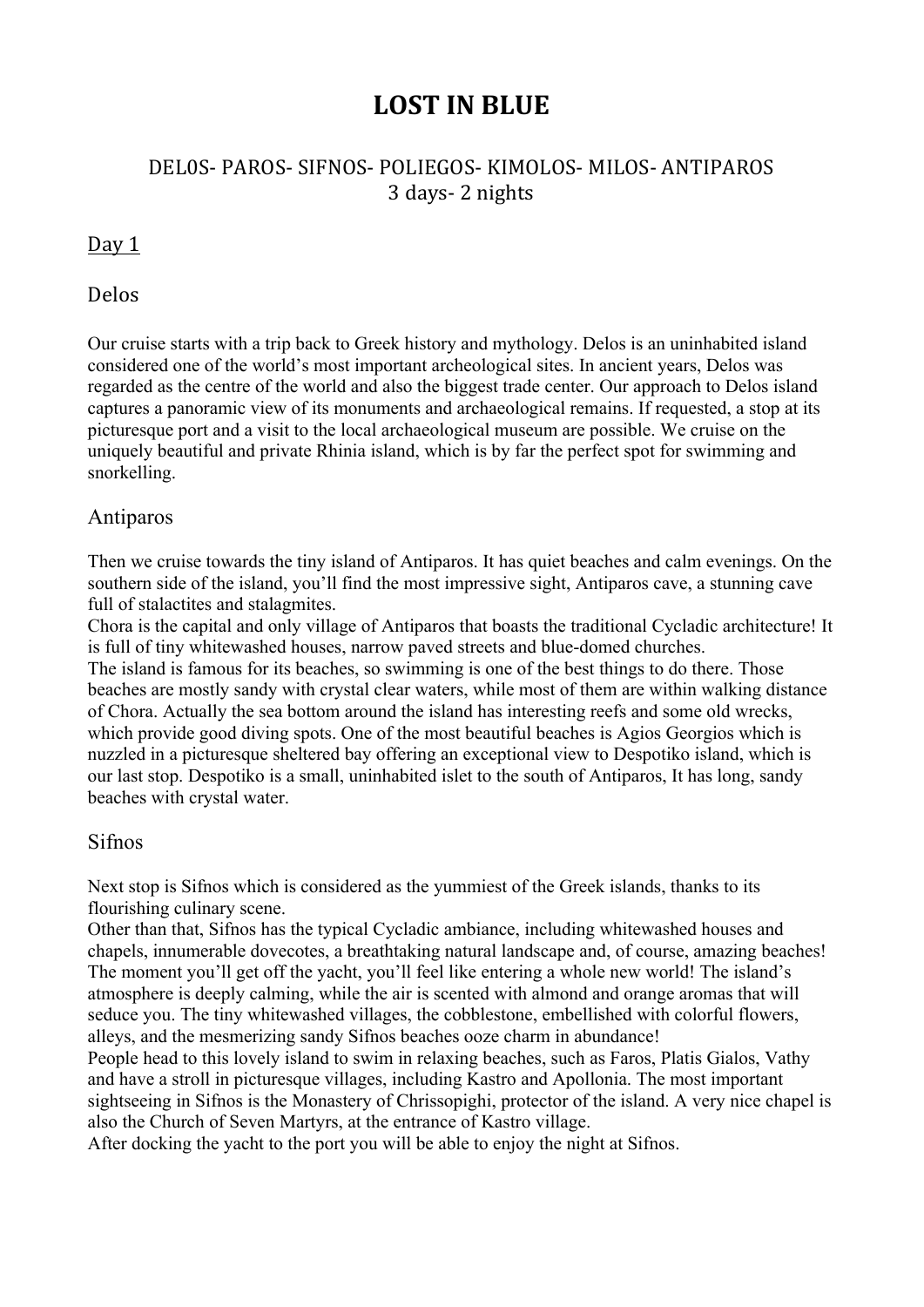# **LOST IN BLUE**

# DEL0S- PAROS- SIFNOS- POLIEGOS- KIMOLOS- MILOS- ANTIPAROS 3 days- 2 nights

# Day 1

#### Delos

Our cruise starts with a trip back to Greek history and mythology. Delos is an uninhabited island considered one of the world's most important archeological sites. In ancient years, Delos was regarded as the centre of the world and also the biggest trade center. Our approach to Delos island captures a panoramic view of its monuments and archaeological remains. If requested, a stop at its picturesque port and a visit to the local archaeological museum are possible. We cruise on the uniquely beautiful and private Rhinia island, which is by far the perfect spot for swimming and snorkelling.

# Antiparos

Then we cruise towards the tiny island of Antiparos. It has quiet beaches and calm evenings. On the southern side of the island, you'll find the most impressive sight, Antiparos cave, a stunning cave full of stalactites and stalagmites.

Chora is the capital and only village of Antiparos that boasts the traditional Cycladic architecture! It is full of tiny whitewashed houses, narrow paved streets and blue-domed churches.

The island is famous for its beaches, so swimming is one of the best things to do there. Those beaches are mostly sandy with crystal clear waters, while most of them are within walking distance of Chora. Actually the sea bottom around the island has interesting reefs and some old wrecks, which provide good diving spots. One of the most beautiful beaches is Agios Georgios which is nuzzled in a picturesque sheltered bay offering an exceptional view to Despotiko island, which is our last stop. Despotiko is a small, uninhabited islet to the south of Antiparos, It has long, sandy beaches with crystal water.

#### Sifnos

Next stop is Sifnos which is considered as the yummiest of the Greek islands, thanks to its flourishing culinary scene.

Other than that, Sifnos has the typical Cycladic ambiance, including whitewashed houses and chapels, innumerable dovecotes, a breathtaking natural landscape and, of course, amazing beaches! The moment you'll get off the yacht, you'll feel like entering a whole new world! The island's atmosphere is deeply calming, while the air is scented with almond and orange aromas that will seduce you. The tiny whitewashed villages, the cobblestone, embellished with colorful flowers, alleys, and the mesmerizing sandy Sifnos beaches ooze charm in abundance!

People head to this lovely island to swim in relaxing beaches, such as Faros, Platis Gialos, Vathy and have a stroll in picturesque villages, including Kastro and Apollonia. The most important sightseeing in Sifnos is the Monastery of Chrissopighi, protector of the island. A very nice chapel is also the Church of Seven Martyrs, at the entrance of Kastro village.

After docking the yacht to the port you will be able to enjoy the night at Sifnos.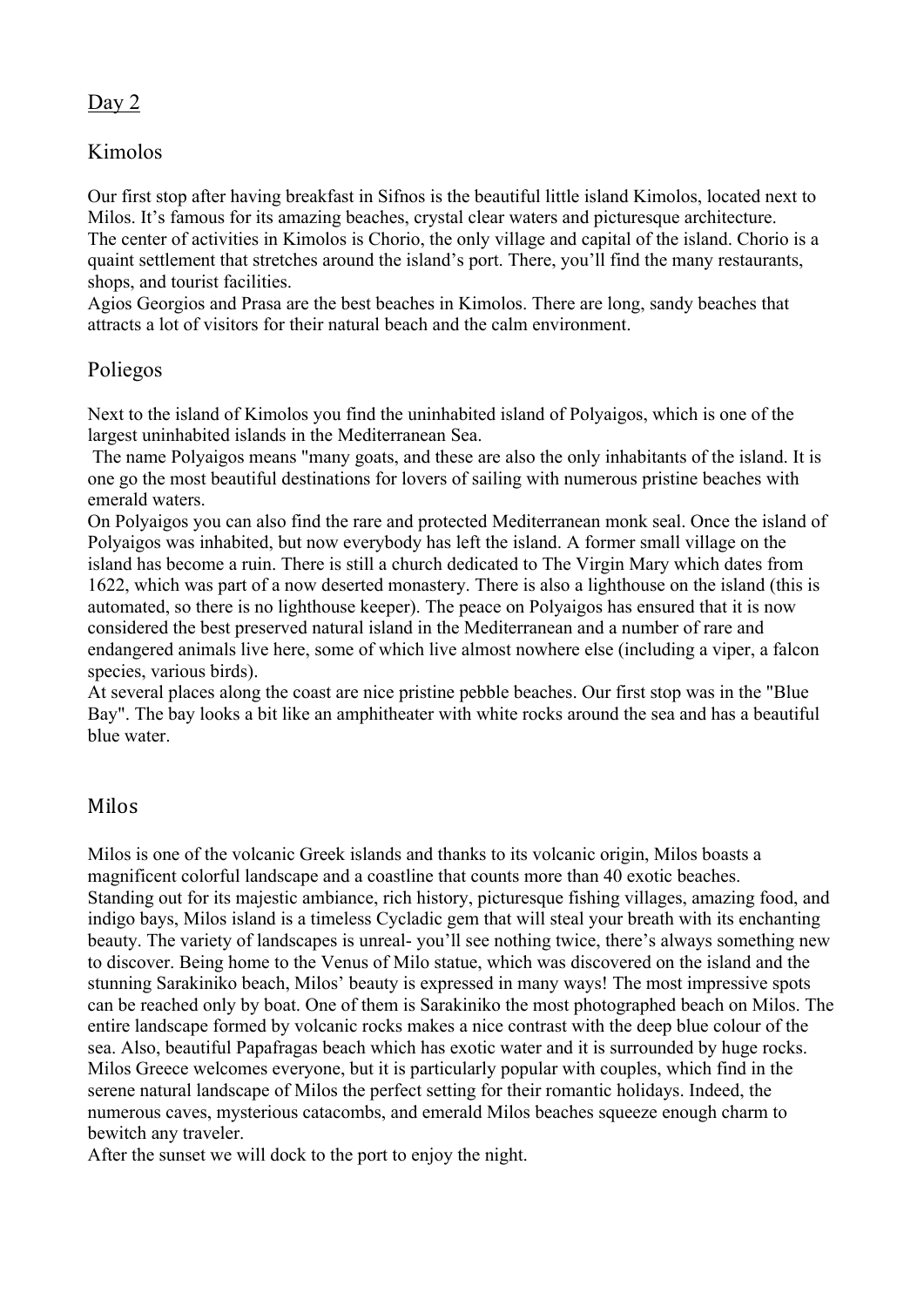### Day 2

## Kimolos

Our first stop after having breakfast in Sifnos is the beautiful little island Kimolos, located next to Milos. It's famous for its amazing beaches, crystal clear waters and picturesque architecture. The center of activities in Kimolos is Chorio, the only village and capital of the island. Chorio is a quaint settlement that stretches around the island's port. There, you'll find the many restaurants, shops, and tourist facilities.

Agios Georgios and Prasa are the best beaches in Kimolos. There are long, sandy beaches that attracts a lot of visitors for their natural beach and the calm environment.

# Poliegos

Next to the island of Kimolos you find the uninhabited island of Polyaigos, which is one of the largest uninhabited islands in the Mediterranean Sea.

The name Polyaigos means "many goats, and these are also the only inhabitants of the island. It is one go the most beautiful destinations for lovers of sailing with numerous pristine beaches with emerald waters.

On Polyaigos you can also find the rare and protected Mediterranean monk seal. Once the island of Polyaigos was inhabited, but now everybody has left the island. A former small village on the island has become a ruin. There is still a church dedicated to The Virgin Mary which dates from 1622, which was part of a now deserted monastery. There is also a lighthouse on the island (this is automated, so there is no lighthouse keeper). The peace on Polyaigos has ensured that it is now considered the best preserved natural island in the Mediterranean and a number of rare and endangered animals live here, some of which live almost nowhere else (including a viper, a falcon species, various birds).

At several places along the coast are nice pristine pebble beaches. Our first stop was in the "Blue Bay". The bay looks a bit like an amphitheater with white rocks around the sea and has a beautiful blue water.

## Milos

Milos is one of the volcanic Greek islands and thanks to its volcanic origin, Milos boasts a magnificent colorful landscape and a coastline that counts more than 40 exotic beaches. Standing out for its majestic ambiance, rich history, picturesque fishing villages, amazing food, and indigo bays, Milos island is a timeless Cycladic gem that will steal your breath with its enchanting beauty. The variety of landscapes is unreal- you'll see nothing twice, there's always something new to discover. Being home to the Venus of Milo statue, which was discovered on the island and the stunning Sarakiniko beach, Milos' beauty is expressed in many ways! The most impressive spots can be reached only by boat. One of them is Sarakiniko the most photographed beach on Milos. The entire landscape formed by volcanic rocks makes a nice contrast with the deep blue colour of the sea. Also, beautiful Papafragas beach which has exotic water and it is surrounded by huge rocks. Milos Greece welcomes everyone, but it is particularly popular with couples, which find in the serene natural landscape of Milos the perfect setting for their romantic holidays. Indeed, the numerous caves, mysterious catacombs, and emerald Milos beaches squeeze enough charm to bewitch any traveler.

After the sunset we will dock to the port to enjoy the night.